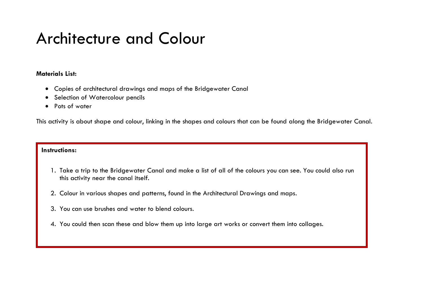### Architecture and Colour

#### **Materials List:**

- Copies of architectural drawings and maps of the Bridgewater Canal
- Selection of Watercolour pencils
- Pots of water

This activity is about shape and colour, linking in the shapes and colours that can be found along the Bridgewater Canal.

- 1. Take a trip to the Bridgewater Canal and make a list of all of the colours you can see. You could also run this activity near the canal itself.
- 2. Colour in various shapes and patterns, found in the Architectural Drawings and maps.
- 3. You can use brushes and water to blend colours.
- 4. You could then scan these and blow them up into large art works or convert them into collages.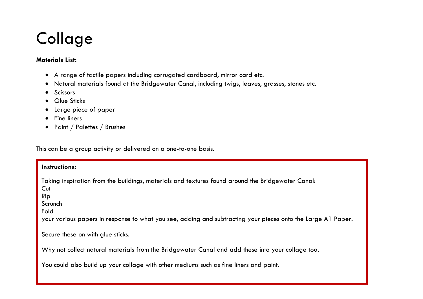# **Collage**

#### **Materials List:**

- A range of tactile papers including corrugated cardboard, mirror card etc.
- Natural materials found at the Bridgewater Canal, including twigs, leaves, grasses, stones etc.
- **•** Scissors
- Glue Sticks
- Large piece of paper
- **•** Fine liners
- Paint / Palettes / Brushes

This can be a group activity or delivered on a one-to-one basis.

#### **Instructions:**

Taking inspiration from the buildings, materials and textures found around the Bridgewater Canal: **Cut** 

Rip

Scrunch

Fold

your various papers in response to what you see, adding and subtracting your pieces onto the Large A1 Paper.

Secure these on with glue sticks.

Why not collect natural materials from the Bridgewater Canal and add these into your collage too.

You could also build up your collage with other mediums such as fine liners and paint.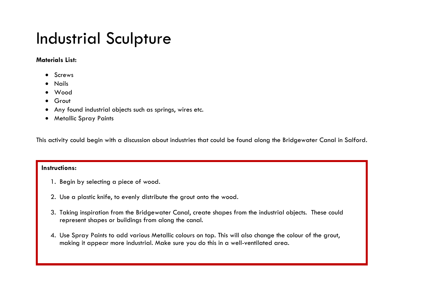### Industrial Sculpture

#### **Materials List:**

- Screws
- Nails
- Wood
- Grout
- Any found industrial objects such as springs, wires etc.
- Metallic Spray Paints

This activity could begin with a discussion about industries that could be found along the Bridgewater Canal in Salford.

- 1. Begin by selecting a piece of wood.
- 2. Use a plastic knife, to evenly distribute the grout onto the wood.
- 3. Taking inspiration from the Bridgewater Canal, create shapes from the industrial objects. These could represent shapes or buildings from along the canal.
- 4. Use Spray Paints to add various Metallic colours on top. This will also change the colour of the grout, making it appear more industrial. Make sure you do this in a well-ventilated area.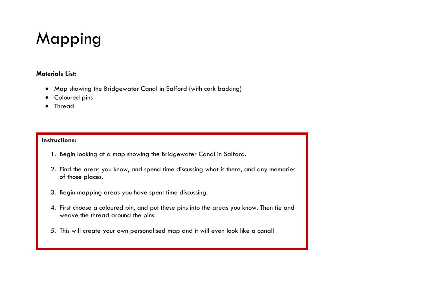# Mapping

#### **Materials List:**

- Map showing the Bridgewater Canal in Salford (with cork backing)
- Coloured pins
- Thread

- 1. Begin looking at a map showing the Bridgewater Canal in Salford.
- 2. Find the areas you know, and spend time discussing what is there, and any memories of those places.
- 3. Begin mapping areas you have spent time discussing.
- 4. First choose a coloured pin, and put these pins into the areas you know. Then tie and weave the thread around the pins.
- 5. This will create your own personalised map and it will even look like a canal!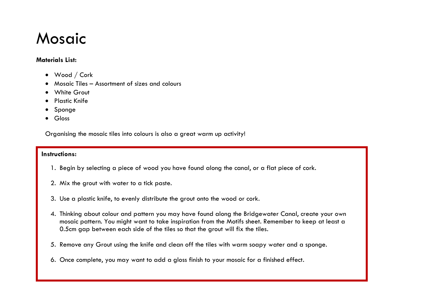### Mosaic

#### **Materials List:**

- Wood / Cork
- Mosaic Tiles Assortment of sizes and colours
- **•** White Grout
- Plastic Knife
- Sponge
- Gloss

Organising the mosaic tiles into colours is also a great warm up activity!

- 1. Begin by selecting a piece of wood you have found along the canal, or a flat piece of cork.
- 2. Mix the grout with water to a tick paste.
- 3. Use a plastic knife, to evenly distribute the grout onto the wood or cork.
- 4. Thinking about colour and pattern you may have found along the Bridgewater Canal, create your own mosaic pattern. You might want to take inspiration from the Motifs sheet. Remember to keep at least a 0.5cm gap between each side of the tiles so that the grout will fix the tiles.
- 5. Remove any Grout using the knife and clean off the tiles with warm soapy water and a sponge.
- 6. Once complete, you may want to add a gloss finish to your mosaic for a finished effect.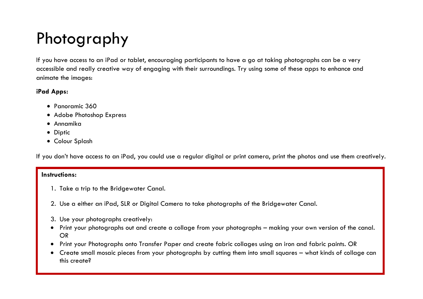# Photography

If you have access to an iPad or tablet, encouraging participants to have a go at taking photographs can be a very accessible and really creative way of engaging with their surroundings. Try using some of these apps to enhance and animate the images:

#### **iPad Apps:**

- Panoramic 360
- Adobe Photoshop Express
- Annamika
- Diptic
- Colour Splash

If you don't have access to an iPad, you could use a regular digital or print camera, print the photos and use them creatively.

- 1. Take a trip to the Bridgewater Canal.
- 2. Use a either an iPad, SLR or Digital Camera to take photographs of the Bridgewater Canal.
- 3. Use your photographs creatively:
- Print your photographs out and create a collage from your photographs making your own version of the canal. OR
- Print your Photographs onto Transfer Paper and create fabric collages using an iron and fabric paints. OR
- Create small mosaic pieces from your photographs by cutting them into small squares what kinds of collage can this create?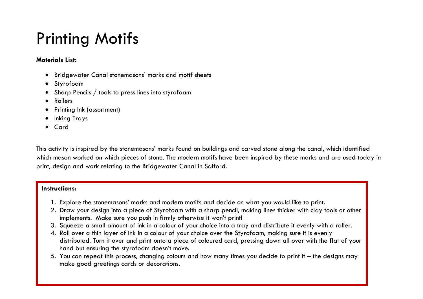# Printing Motifs

#### **Materials List:**

- Bridgewater Canal stonemasons' marks and motif sheets
- Styrofoam
- Sharp Pencils / tools to press lines into styrofoam
- Rollers
- Printing Ink (assortment)
- Inking Trays
- Card

This activity is inspired by the stonemasons' marks found on buildings and carved stone along the canal, which identified which mason worked on which pieces of stone. The modern motifs have been inspired by these marks and are used today in print, design and work relating to the Bridgewater Canal in Salford.

- 1. Explore the stonemasons' marks and modern motifs and decide on what you would like to print.
- 2. Draw your design into a piece of Styrofoam with a sharp pencil, making lines thicker with clay tools or other implements. Make sure you push in firmly otherwise it won't print!
- 3. Squeeze a small amount of ink in a colour of your choice into a tray and distribute it evenly with a roller.
- 4. Roll over a thin layer of ink in a colour of your choice over the Styrofoam, making sure it is evenly distributed. Turn it over and print onto a piece of coloured card, pressing down all over with the flat of your hand but ensuring the styrofoam doesn't move.
- 5. You can repeat this process, changing colours and how many times you decide to print it the designs may make good greetings cards or decorations.